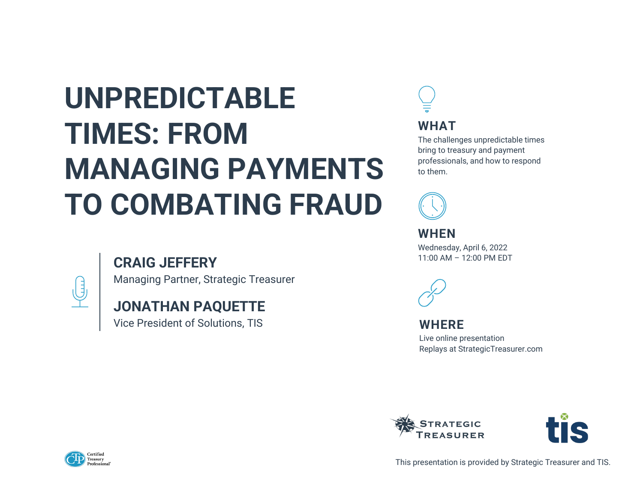# **UNPREDICTABLE TIMES: FROM MANAGING PAYMENTS TO COMBATING FRAUD**

### **CRAIG JEFFERY**



Managing Partner, Strategic Treasurer

### **JONATHAN PAQUETTE**

Vice President of Solutions, TIS







This presentation is provided by Strategic Treasurer and TIS.

#### **WHERE**

Live online presentation Replays at StrategicTreasurer.com



**WHEN** Wednesday, April 6, 2022 11:00 AM – 12:00 PM EDT



**WHAT**

The challenges unpredictable times bring to treasury and payment professionals, and how to respond to them.

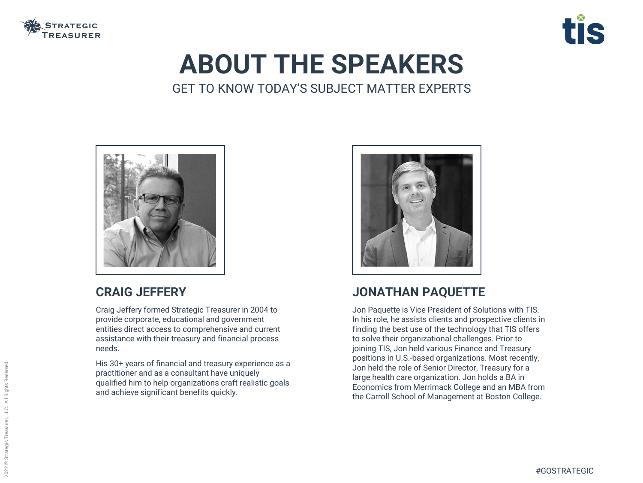

## **ABOUT THE SPEAKERS** GET TO KNOW TODAY'S SUBJECT MATTER EXPERTS



#### **CRAIG JEFFERY**

Craig Jeffery formed Strategic Treasurer in 2004 to provide corporate, educational and government entities direct access to comprehensive and current assistance with their treasury and financial process needs.

His 30+ years of financial and treasury experience as a practitioner and as a consultant have uniquely qualified him to help organizations craft realistic goals and achieve significant benefits quickly.



### **JONATHAN PAQUETTE**

Jon Paquette is Vice President of Solutions with TIS. In his role, he assists clients and prospective clients in finding the best use of the technology that TIS offers to solve their organizational challenges. Prior to joining TIS, Jon held various Finance and Treasury positions in U.S.-based organizations. Most recently, Jon held the role of Senior Director, Treasury for a large health care organization. Jon holds a BA in Economics from Merrimack College and an MBA from the Carroll School of Management at Boston College.

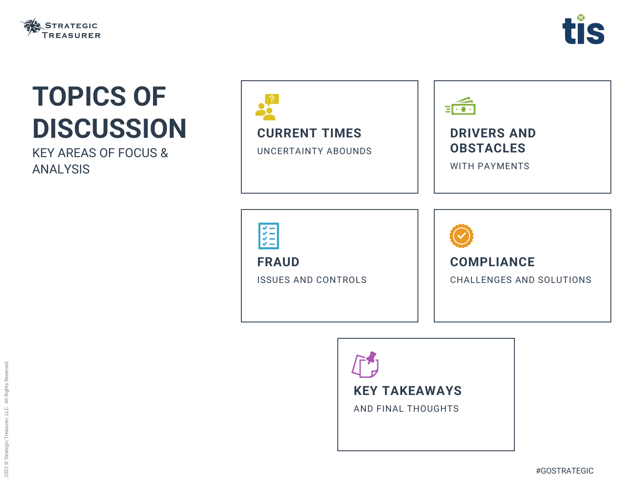





# **TOPICS OF DISCUSSION**

KEY AREAS OF FOCUS & ANALYSIS





**FRAUD**



ISSUES AND CONTROLS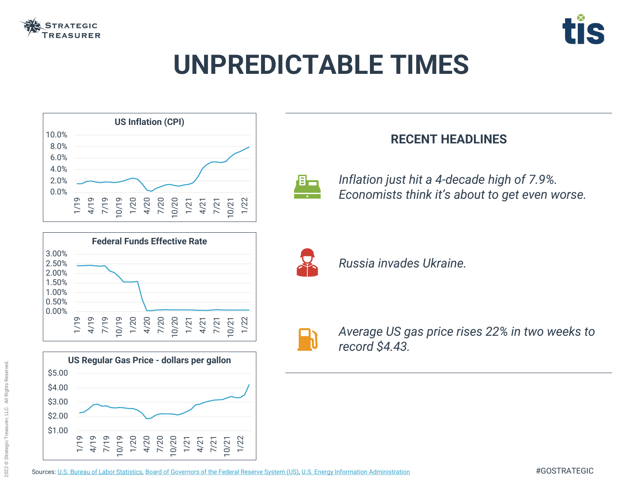

# **UNPREDICTABLE TIMES**







Sources: [U.S. Bureau of Labor Statistics,](https://fred.stlouisfed.org/graph/?g=rocU) [Board of Governors of the Federal Reserve System \(US\)](https://fred.stlouisfed.org/series/FEDFUNDS), [U.S. Energy Information Administration](https://fred.stlouisfed.org/series/GASREGW#0)







### **RECENT HEADLINES**

*Average US gas price rises 22% in two weeks to* 



*record \$4.43.*



*Russia invades Ukraine.*

*Inflation just hit a 4-decade high of 7.9%. Economists think it's about to get even worse.*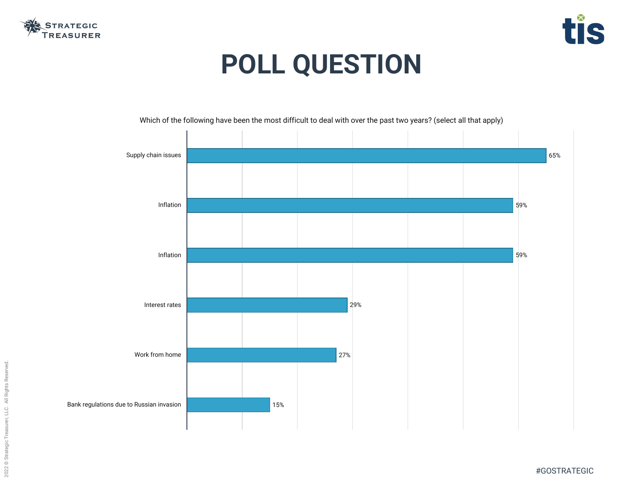





# **POLL QUESTION**



#### Which of the following have been the most difficult to deal with over the past two years? (select all that apply)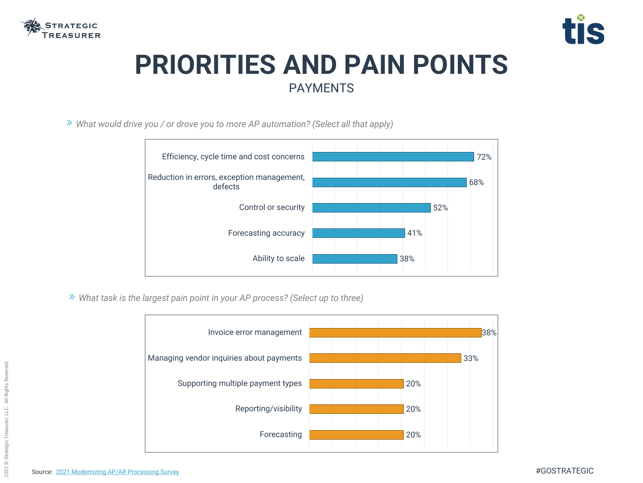

## **PRIORITIES AND PAIN POINTS** PAYMENTS







*What would drive you / or drove you to more AP automation? (Select all that apply)*

*What task is the largest pain point in your AP process? (Select up to three)*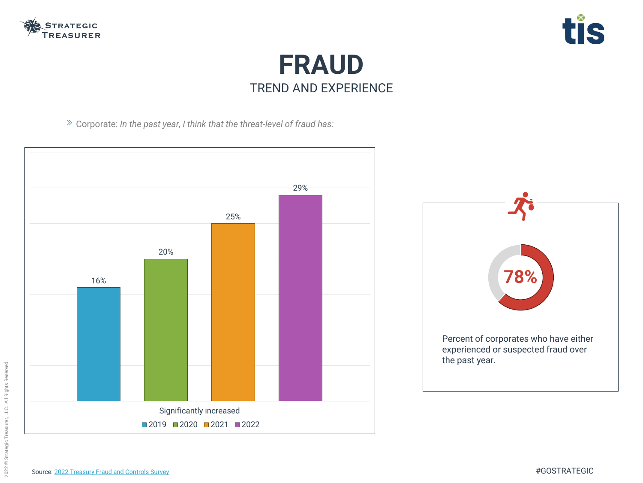





Corporate: *In the past year, I think that the threat-level of fraud has:*



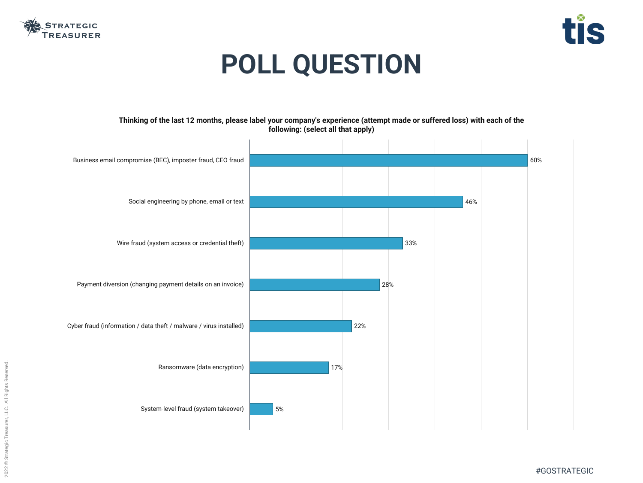



#### ade or suffered loss) with each of the

#GOSTRATEGIC



# **POLL QUESTION**



|                                                                    | Thinking of the last 12 months, please label your company's experience (attempt ma<br>following: (select all that apply) |     |     |     |
|--------------------------------------------------------------------|--------------------------------------------------------------------------------------------------------------------------|-----|-----|-----|
|                                                                    |                                                                                                                          |     |     |     |
| Business email compromise (BEC), imposter fraud, CEO fraud         |                                                                                                                          |     |     |     |
|                                                                    |                                                                                                                          |     |     |     |
| Social engineering by phone, email or text                         |                                                                                                                          |     |     |     |
|                                                                    |                                                                                                                          |     |     |     |
| Wire fraud (system access or credential theft)                     |                                                                                                                          |     |     |     |
|                                                                    |                                                                                                                          |     |     |     |
| Payment diversion (changing payment details on an invoice)         |                                                                                                                          |     |     | 28% |
|                                                                    |                                                                                                                          |     |     |     |
| Cyber fraud (information / data theft / malware / virus installed) |                                                                                                                          |     | 22% |     |
|                                                                    |                                                                                                                          |     |     |     |
|                                                                    |                                                                                                                          |     |     |     |
| Ransomware (data encryption)                                       |                                                                                                                          | 17% |     |     |
|                                                                    |                                                                                                                          |     |     |     |
| System-level fraud (system takeover)                               | 5%                                                                                                                       |     |     |     |
|                                                                    |                                                                                                                          |     |     |     |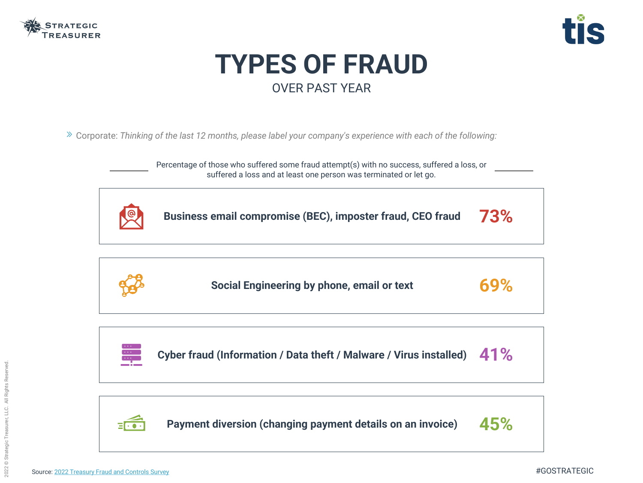



Corporate: *Thinking of the last 12 months, please label your company's experience with each of the following:*

**Business email compromise (BEC), imposter fraud, CEO fraud 73%**



**Social Engineering by phone, email or text 69%**



**Cyber fraud (Information / Data theft / Malware / Virus installed) 41%**



**Payment diversion (changing payment details on an invoice) 45%**





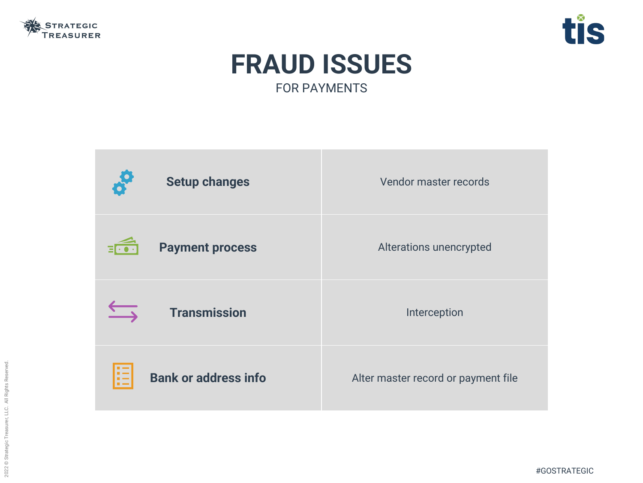

#### **Setup changes** vendor master records

ations unencrypted

**Interception** 

er record or payment file

#GOSTRATEGIC



### **FRAUD ISSUES** FOR PAYMENTS

| of<br><b>Setup changes</b>              | Vend               |
|-----------------------------------------|--------------------|
| <b>Payment process</b><br>$E$ o $\cdot$ | Altera             |
| <b>Transmission</b>                     |                    |
| ≔∣<br><b>Bank or address info</b>       | <b>Alter maste</b> |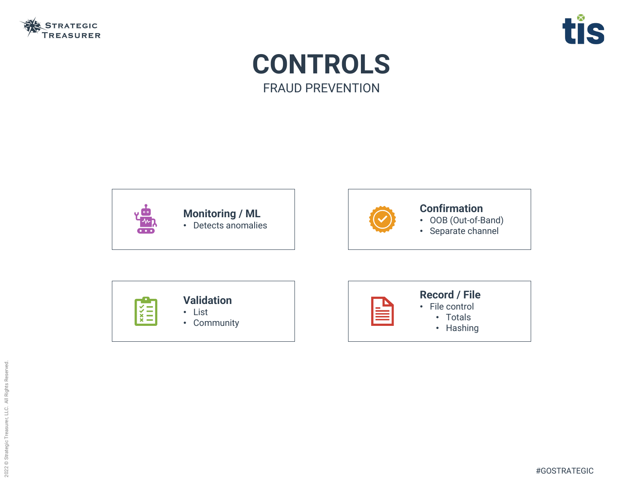



## **CONTROLS** FRAUD PREVENTION



#### **Monitoring / ML**

• Detects anomalies



#### **Confirmation**

- OOB (Out-of-Band)
- Separate channel

|--|



#### **Record / File**

- File control
	- Totals
	- Hashing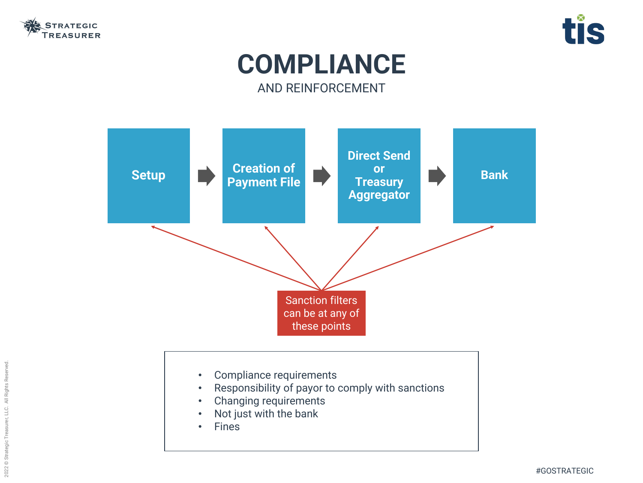





## **COMPLIANCE** AND REINFORCEMENT



- Compliance requirements
- Responsibility of payor to comply with sanctions
- Changing requirements
- Not just with the bank
- Fines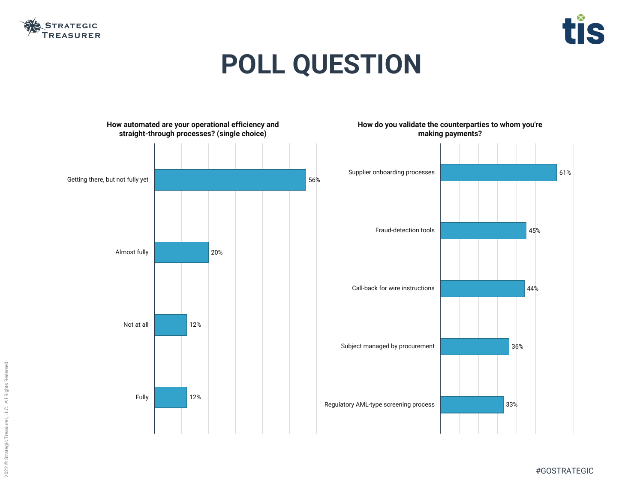





# **POLL QUESTION**

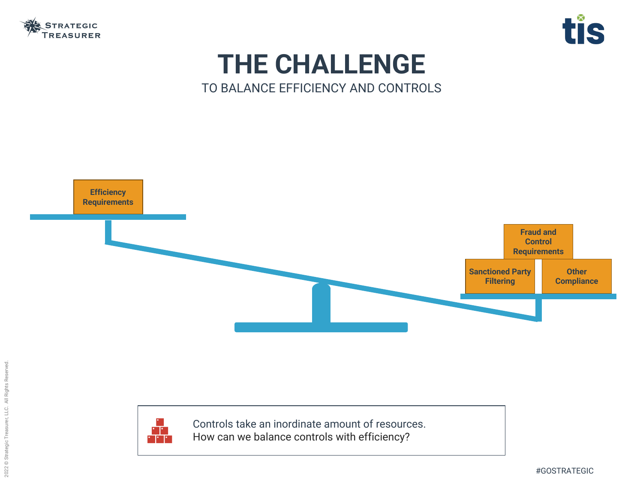





## **THE CHALLENGE** TO BALANCE EFFICIENCY AND CONTROLS





Controls take an inordinate amount of resources. How can we balance controls with efficiency?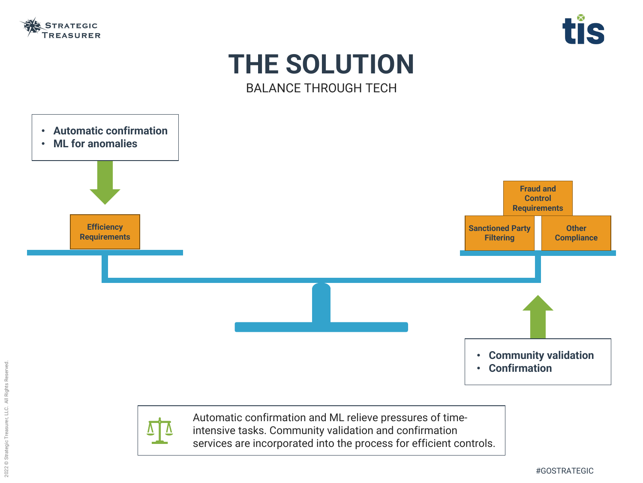

### **THE SOLUTION** BALANCE THROUGH TECH





Automatic confirmation and ML relieve pressures of timeintensive tasks. Community validation and confirmation services are incorporated into the process for efficient controls.

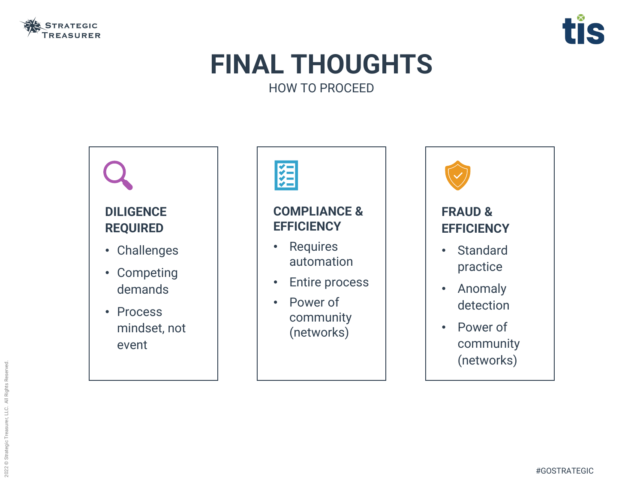

## **FINAL THOUGHTS** HOW TO PROCEED

## **DILIGENCE REQUIRED** • Challenges

- Competing demands
- Process mindset, not event





### **COMPLIANCE & EFFICIENCY**

- Requires automation
- Entire process
- Power of community (networks)